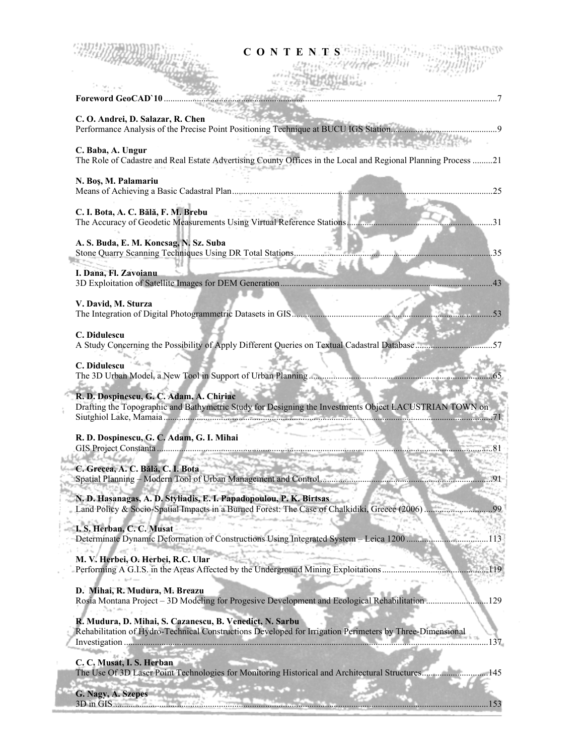| <b>CONTENTS</b>                                                                                                                                                                       |
|---------------------------------------------------------------------------------------------------------------------------------------------------------------------------------------|
|                                                                                                                                                                                       |
|                                                                                                                                                                                       |
| C. O. Andrei, D. Salazar, R. Chen                                                                                                                                                     |
| <b>START AND START AND ACCOUNT OF A PARTIES</b><br>C. Baba, A. Ungur<br>The Role of Cadastre and Real Estate Advertising County Offices in the Local and Regional Planning Process 21 |
| N. Boş, M. Palamariu<br>$\ldots$ 2.5                                                                                                                                                  |
| C. I. Bota, A. C. Bălă, F. M. Brebu<br>. 31                                                                                                                                           |
| A. S. Buda, E. M. Koncsag, N. Sz. Suba<br>35<br>Stone Quarry Scanning Techniques Using DR Total Stations                                                                              |
| I. Dana, Fl. Zavoianu                                                                                                                                                                 |
| V. David, M. Sturza<br>53                                                                                                                                                             |
| C. Didulescu                                                                                                                                                                          |
| C. Didulescu                                                                                                                                                                          |
| R. D. Dospinescu, G. C. Adam, A. Chiriac<br>Drafting the Topographic and Bathymetric Study for Designing the Investments Object LACUSTRIAN TOWN on                                    |
| R. D. Dospinescu, G. C. Adam, G. I. Mihai                                                                                                                                             |
| C. Grecea, A. C. Bălă, C. I. Bota                                                                                                                                                     |
| N. D. Hasanagas, A. D. Styliadis, E. I. Papadopoulou, P. K. Birtsas                                                                                                                   |
| I. S. Herban, C. C. Musat<br>Determinate Dynamic Deformation of Constructions Using Integrated System - Leica 1200<br>.113                                                            |
| M. V. Herbei, O. Herbei, R.C. Ular<br>Performing A G.I.S. in the Areas Affected by the Underground Mining Exploitations<br>119                                                        |
| D. Mihai, R. Mudura, M. Breazu                                                                                                                                                        |
| R. Mudura, D. Mihai, S. Cazanescu, B. Venedict, N. Sarbu<br>Rehabilitation of Hydro-Technical Constructions Developed for Irrigation Perimeters by Three-Dimensional                  |
| C. C. Musat, I. S. Herban                                                                                                                                                             |
| G. Nagy, A. Szepes                                                                                                                                                                    |

 $\epsilon$